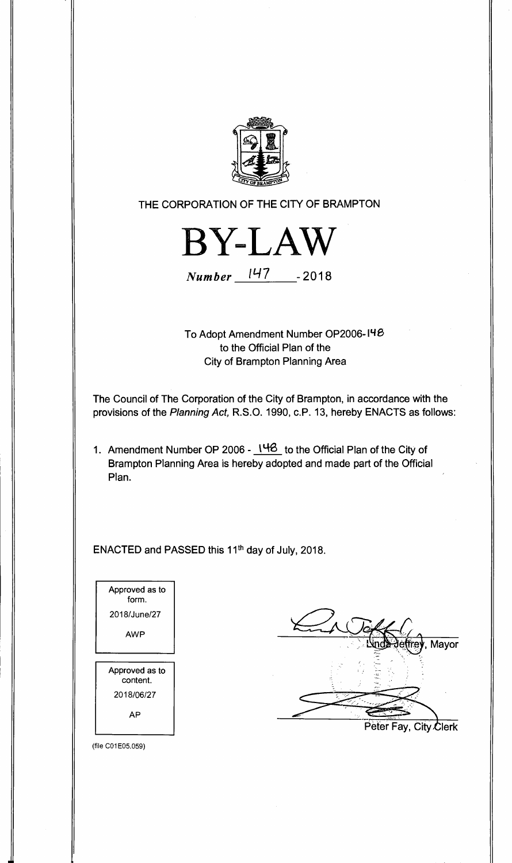

**THE CORPORATION OF THE CITY OF BRAMPTON** 



**Number /147 -2018** 

**To Adopt Amendment. Number OP2006 to the Official Plan of the City of Brampton Planning Area** 

**The Council of The Corporation of the City of Brampton, in accordance with the provisions of the Planning Act, R.S.O. 1990, c.P. 13, hereby ENACTS as follows:** 

1. Amendment Number OP 2006 - 148 to the Official Plan of the City of **Brampton Planning Area is hereby adopted and made part of the Official Plan.** 

ENACTED and PASSED this 11<sup>th</sup> day of July, 2018.



**, Mayor Peter Fay, City Olerk** 

(file C01E05.059)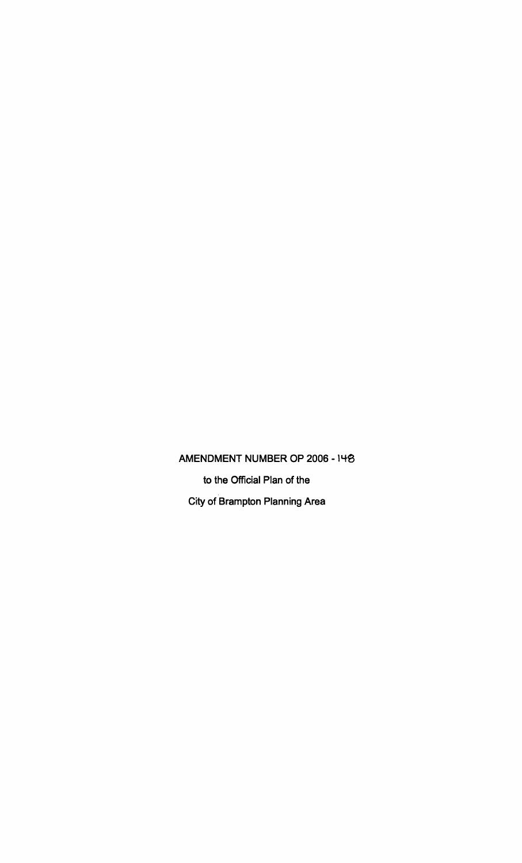**AMENDMENT NUMBER OP 2006 -14\$ to the Official Plan of the City of Brampton Planning Area**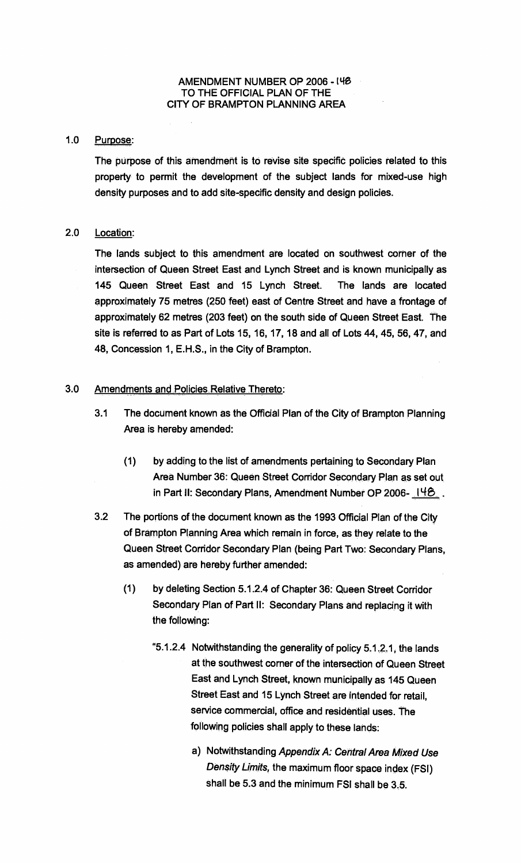## **AMENDMENT NUMBER OP 2006 -14S TO THE OFFICIAL PLAN OF THE CITY OF BRAMPTON PLANNING AREA**

## **1.0 Purpose:**

**The purpose of this amendment is to revise site specific policies related to this property to permit the development of the subject lands for mixed-use high density purposes and to add site-specific density and design policies.** 

## **2.0 Location:**

**The lands subject to this amendment are located on southwest corner of the intersection of Queen Street East and Lynch Street and is known municipally as 145 Queen Street East and 15 Lynch Street. The lands are located approximately 75 metres (250 feet) east of Centre Street and have a frontage of approximately 62 metres (203 feet) on the south side of Queen Street East. The site is referred to as Part of Lots 15, 16, 17, 18 and all of Lots 44, 45, 56, 47, and 48, Concession 1, E.H.S., in the City of Brampton.** 

## **3.0 Amendments and Policies Relative. Thereto:**

- **3.1 The document known as the Official Plan of the City of Brampton Planning Area is hereby amended:** 
	- **(1) by adding to the list of amendments pertaining to Secondary Plan Area Number 36: Queen Street Corridor Secondary Plan as set out in Part II: Secondary Plans, Amendment Number OP 2006- 148.**
- **3.2 The portions of the document known as the 1993 Official Plan of the City of Brampton Planning Area which remain in force, as they relate to the Queen Street Corridor Secondary Plan (being Part Two: Secondary Plans, as amended) are hereby further amended:** 
	- **(1) by deleting Section 5.1.2.4 of Chapter 36: Queen Street Corridor Secondary Plan of Part II: Secondary Plans and replacing it with the following:** 
		- **"5.1.2.4 Notwithstanding the generality of policy 5.1.2.1, the lands at the southwest corner of the intersection of Queen Street East and Lynch Street, known municipally as 145 Queen Street East and 15 Lynch Street are intended for retail, service commercial, office and residential uses. The following policies shall apply to these lands:** 
			- **a) Notwithstanding Appendix A: Central Area Mixed Use Density Limits, the maximum floor space index (FSI) shall be 5.3 and the minimum FSI shall be 3.5.**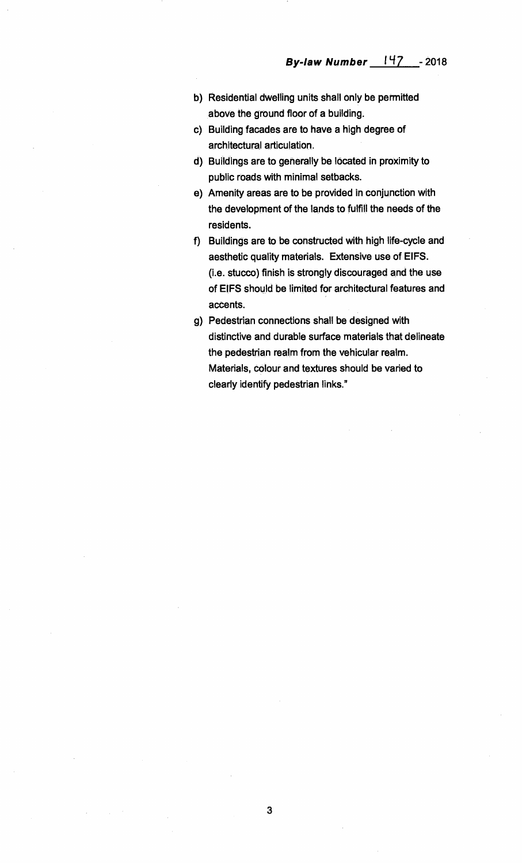- **b) Residential dwelling units shall only be permitted above the ground floor of a building.**
- **c) Building facades are to have a high degree of architectural articulation.**
- **d) Buildings are to generally be located in proximity to public roads with minimal setbacks.**
- **e) Amenity areas are to be provided in conjunction with the development of the lands to fulfill the needs of the residents.**
- **f) Buildings are to be constructed with high life-cycle and aesthetic quality materials. Extensive use of EIFS. (i.e. stucco) finish is strongly discouraged and the use of EIFS should be limited for architectural features and accents.**
- **g) Pedestrian connections shall be designed with distinctive and durable surface materials that delineate the pedestrian realm from the vehicular realm. Materials, colour and textures should be varied to clearly identify pedestrian links."**